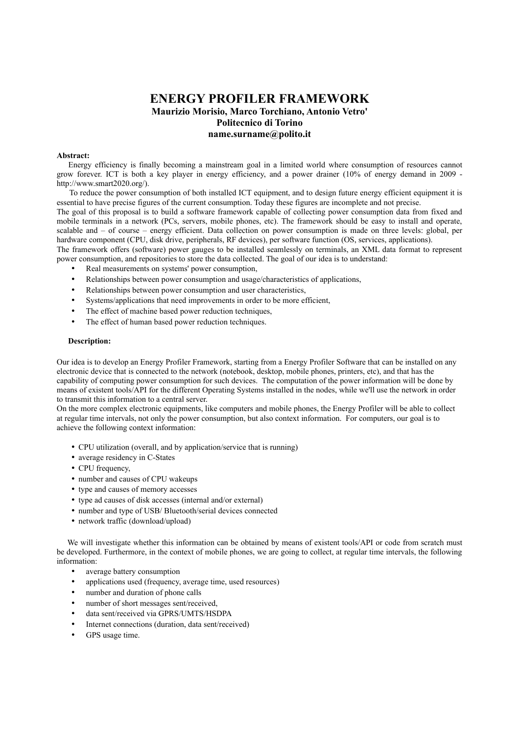## **ENERGY PROFILER FRAMEWORK Maurizio Morisio, Marco Torchiano, Antonio Vetro' Politecnico di Torino name.surname@polito.it**

## **Abstract:**

Energy efficiency is finally becoming a mainstream goal in a limited world where consumption of resources cannot grow forever. ICT is both a key player in energy efficiency, and a power drainer (10% of energy demand in 2009 http://www.smart2020.org/).

To reduce the power consumption of both installed ICT equipment, and to design future energy efficient equipment it is essential to have precise figures of the current consumption. Today these figures are incomplete and not precise.

The goal of this proposal is to build a software framework capable of collecting power consumption data from fixed and mobile terminals in a network (PCs, servers, mobile phones, etc). The framework should be easy to install and operate, scalable and – of course – energy efficient. Data collection on power consumption is made on three levels: global, per hardware component (CPU, disk drive, peripherals, RF devices), per software function (OS, services, applications).

The framework offers (software) power gauges to be installed seamlessly on terminals, an XML data format to represent power consumption, and repositories to store the data collected. The goal of our idea is to understand:

- Real measurements on systems' power consumption,
- Relationships between power consumption and usage/characteristics of applications,
- Relationships between power consumption and user characteristics,
- Systems/applications that need improvements in order to be more efficient,
- The effect of machine based power reduction techniques,
- The effect of human based power reduction techniques.

## **Description:**

Our idea is to develop an Energy Profiler Framework, starting from a Energy Profiler Software that can be installed on any electronic device that is connected to the network (notebook, desktop, mobile phones, printers, etc), and that has the capability of computing power consumption for such devices. The computation of the power information will be done by means of existent tools/API for the different Operating Systems installed in the nodes, while we'll use the network in order to transmit this information to a central server.

On the more complex electronic equipments, like computers and mobile phones, the Energy Profiler will be able to collect at regular time intervals, not only the power consumption, but also context information. For computers, our goal is to achieve the following context information:

- CPU utilization (overall, and by application/service that is running)
- average residency in C-States
- CPU frequency,
- number and causes of CPU wakeups
- type and causes of memory accesses
- type ad causes of disk accesses (internal and/or external)
- number and type of USB/ Bluetooth/serial devices connected
- network traffic (download/upload)

We will investigate whether this information can be obtained by means of existent tools/API or code from scratch must be developed. Furthermore, in the context of mobile phones, we are going to collect, at regular time intervals, the following information:

- average battery consumption
- applications used (frequency, average time, used resources)
- number and duration of phone calls
- number of short messages sent/received,
- data sent/received via GPRS/UMTS/HSDPA
- Internet connections (duration, data sent/received)
- GPS usage time.